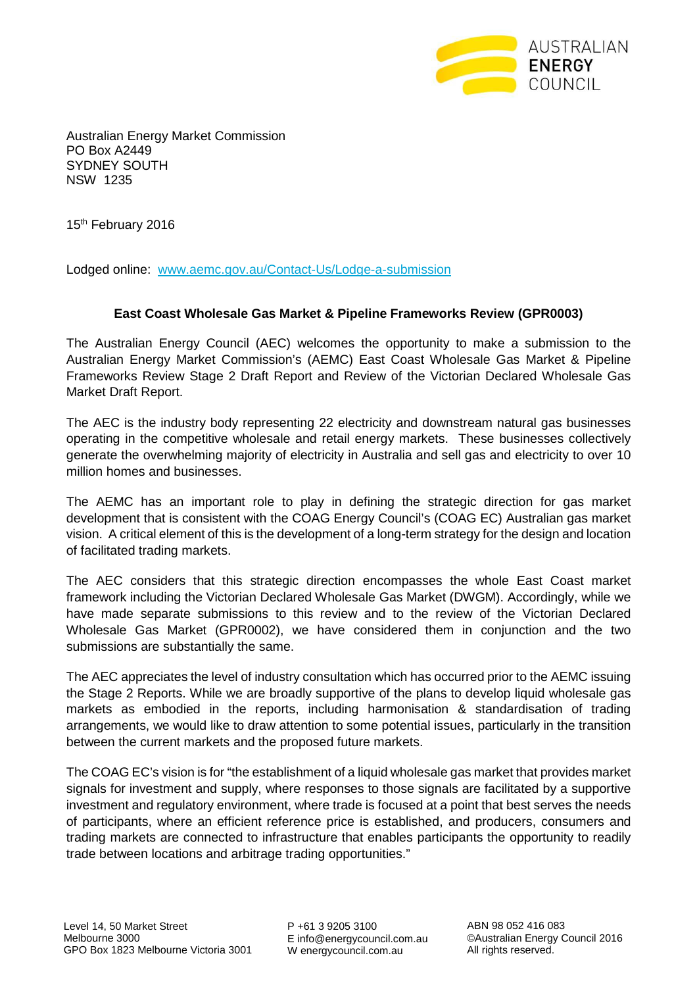

Australian Energy Market Commission PO Box A2449 SYDNEY SOUTH NSW 1235

15<sup>th</sup> February 2016

Lodged online: www.aemc.gov.au/Contact-Us/Lodge-a-submission

## **East Coast Wholesale Gas Market & Pipeline Frameworks Review (GPR0003)**

The Australian Energy Council (AEC) welcomes the opportunity to make a submission to the Australian Energy Market Commission's (AEMC) East Coast Wholesale Gas Market & Pipeline Frameworks Review Stage 2 Draft Report and Review of the Victorian Declared Wholesale Gas Market Draft Report.

The AEC is the industry body representing 22 electricity and downstream natural gas businesses operating in the competitive wholesale and retail energy markets. These businesses collectively generate the overwhelming majority of electricity in Australia and sell gas and electricity to over 10 million homes and businesses.

The AEMC has an important role to play in defining the strategic direction for gas market development that is consistent with the COAG Energy Council's (COAG EC) Australian gas market vision. A critical element of this is the development of a long-term strategy for the design and location of facilitated trading markets.

The AEC considers that this strategic direction encompasses the whole East Coast market framework including the Victorian Declared Wholesale Gas Market (DWGM). Accordingly, while we have made separate submissions to this review and to the review of the Victorian Declared Wholesale Gas Market (GPR0002), we have considered them in conjunction and the two submissions are substantially the same.

The AEC appreciates the level of industry consultation which has occurred prior to the AEMC issuing the Stage 2 Reports. While we are broadly supportive of the plans to develop liquid wholesale gas markets as embodied in the reports, including harmonisation & standardisation of trading arrangements, we would like to draw attention to some potential issues, particularly in the transition between the current markets and the proposed future markets.

The COAG EC's vision is for "the establishment of a liquid wholesale gas market that provides market signals for investment and supply, where responses to those signals are facilitated by a supportive investment and regulatory environment, where trade is focused at a point that best serves the needs of participants, where an efficient reference price is established, and producers, consumers and trading markets are connected to infrastructure that enables participants the opportunity to readily trade between locations and arbitrage trading opportunities."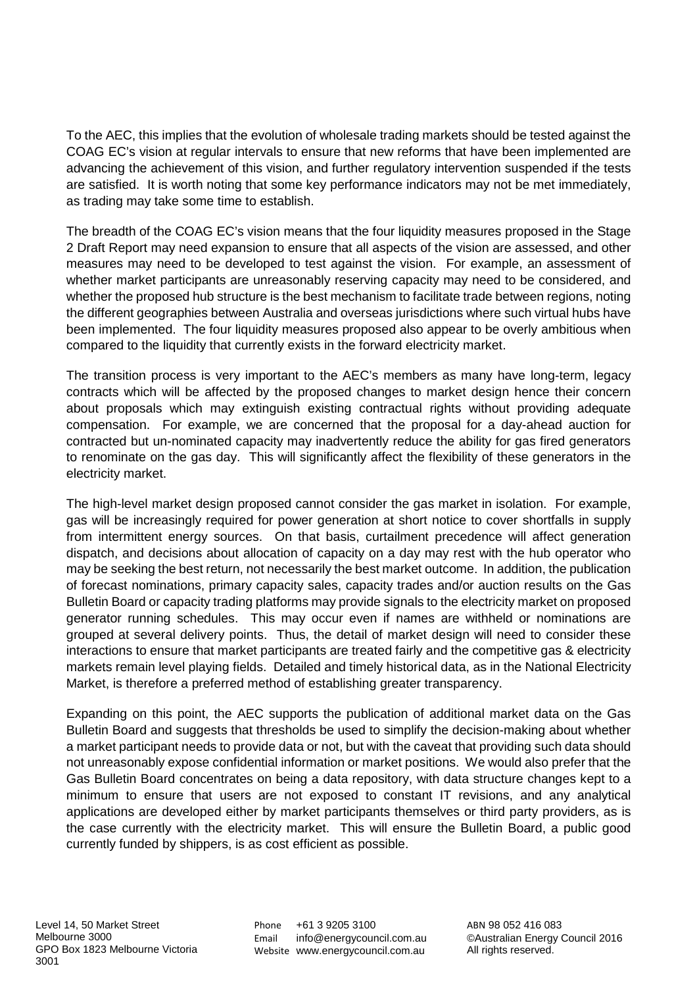To the AEC, this implies that the evolution of wholesale trading markets should be tested against the COAG EC's vision at regular intervals to ensure that new reforms that have been implemented are advancing the achievement of this vision, and further regulatory intervention suspended if the tests are satisfied. It is worth noting that some key performance indicators may not be met immediately, as trading may take some time to establish.

The breadth of the COAG EC's vision means that the four liquidity measures proposed in the Stage 2 Draft Report may need expansion to ensure that all aspects of the vision are assessed, and other measures may need to be developed to test against the vision. For example, an assessment of whether market participants are unreasonably reserving capacity may need to be considered, and whether the proposed hub structure is the best mechanism to facilitate trade between regions, noting the different geographies between Australia and overseas jurisdictions where such virtual hubs have been implemented. The four liquidity measures proposed also appear to be overly ambitious when compared to the liquidity that currently exists in the forward electricity market.

The transition process is very important to the AEC's members as many have long-term, legacy contracts which will be affected by the proposed changes to market design hence their concern about proposals which may extinguish existing contractual rights without providing adequate compensation. For example, we are concerned that the proposal for a day-ahead auction for contracted but un-nominated capacity may inadvertently reduce the ability for gas fired generators to renominate on the gas day. This will significantly affect the flexibility of these generators in the electricity market.

The high-level market design proposed cannot consider the gas market in isolation. For example, gas will be increasingly required for power generation at short notice to cover shortfalls in supply from intermittent energy sources. On that basis, curtailment precedence will affect generation dispatch, and decisions about allocation of capacity on a day may rest with the hub operator who may be seeking the best return, not necessarily the best market outcome. In addition, the publication of forecast nominations, primary capacity sales, capacity trades and/or auction results on the Gas Bulletin Board or capacity trading platforms may provide signals to the electricity market on proposed generator running schedules. This may occur even if names are withheld or nominations are grouped at several delivery points. Thus, the detail of market design will need to consider these interactions to ensure that market participants are treated fairly and the competitive gas & electricity markets remain level playing fields. Detailed and timely historical data, as in the National Electricity Market, is therefore a preferred method of establishing greater transparency.

Expanding on this point, the AEC supports the publication of additional market data on the Gas Bulletin Board and suggests that thresholds be used to simplify the decision-making about whether a market participant needs to provide data or not, but with the caveat that providing such data should not unreasonably expose confidential information or market positions. We would also prefer that the Gas Bulletin Board concentrates on being a data repository, with data structure changes kept to a minimum to ensure that users are not exposed to constant IT revisions, and any analytical applications are developed either by market participants themselves or third party providers, as is the case currently with the electricity market. This will ensure the Bulletin Board, a public good currently funded by shippers, is as cost efficient as possible.

Phone +61 3 9205 3100 Email info@energycouncil.com.au Website www.energycouncil.com.au

ABN 98 052 416 083 ©Australian Energy Council 2016 All rights reserved.